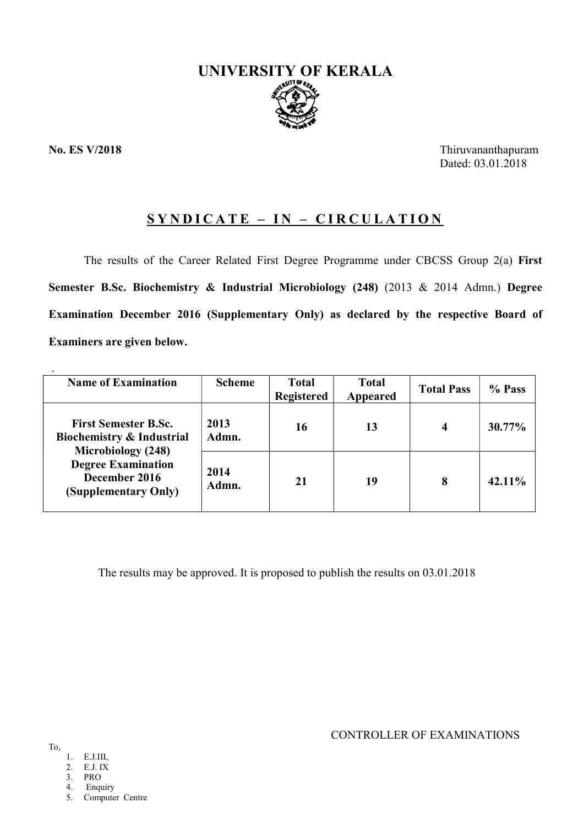

No. ES V/2018 Thiruvananthapuram Dated: 03.01.2018

# $SYNDICATE - IN - CIRCULATION$

The results of the Career Related First Degree Programme under CBCSS Group 2(a) First Semester B.Sc. Biochemistry & Industrial Microbiology (248) (2013 & 2014 Admn.) Degree Examination December 2016 (Supplementary Only) as declared by the respective Board of Examiners are given below.

| <b>Name of Examination</b>                                                                                                                                      | <b>Scheme</b> | <b>Total</b><br><b>Registered</b> | <b>Total</b><br>Appeared | <b>Total Pass</b> | % Pass |
|-----------------------------------------------------------------------------------------------------------------------------------------------------------------|---------------|-----------------------------------|--------------------------|-------------------|--------|
| <b>First Semester B.Sc.</b><br><b>Biochemistry &amp; Industrial</b><br>Microbiology (248)<br><b>Degree Examination</b><br>December 2016<br>(Supplementary Only) | 2013<br>Admn. | 16                                | 13                       | 4                 | 30.77% |
|                                                                                                                                                                 | 2014<br>Admn. | 21                                | 19                       | 8                 | 42.11% |

The results may be approved. It is proposed to publish the results on 03.01.2018

CONTROLLER OF EXAMINATIONS

- 1. E.J.III,
- 2. E.J. IX
- 3. PRO
- 4. Enquiry

5. Computer Centre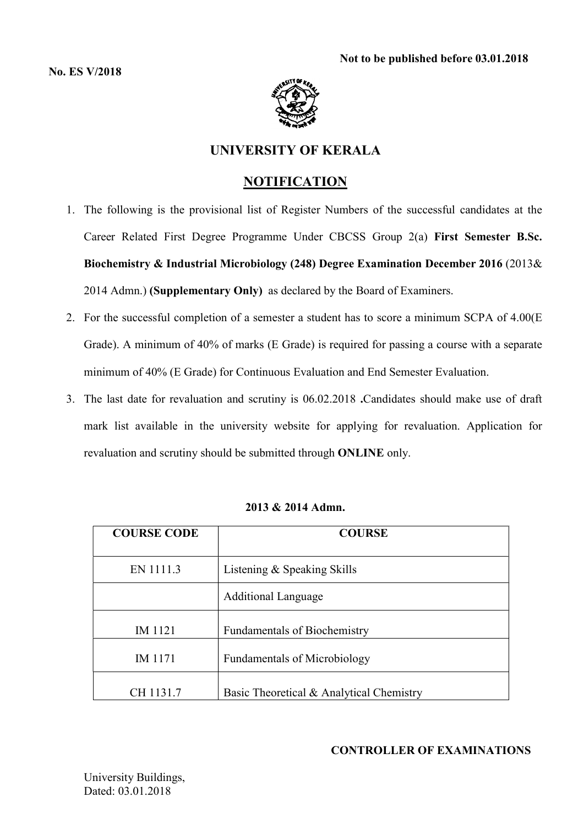

# UNIVERSITY OF KERALA

# **NOTIFICATION**

- 1. The following is the provisional list of Register Numbers of the successful candidates at the Career Related First Degree Programme Under CBCSS Group 2(a) First Semester B.Sc. Biochemistry & Industrial Microbiology (248) Degree Examination December 2016 (2013& 2014 Admn.) (Supplementary Only) as declared by the Board of Examiners.
- 2. For the successful completion of a semester a student has to score a minimum SCPA of 4.00(E Grade). A minimum of 40% of marks (E Grade) is required for passing a course with a separate minimum of 40% (E Grade) for Continuous Evaluation and End Semester Evaluation.
- 3. The last date for revaluation and scrutiny is 06.02.2018 .Candidates should make use of draft mark list available in the university website for applying for revaluation. Application for revaluation and scrutiny should be submitted through ONLINE only.

| <b>COURSE CODE</b> | <b>COURSE</b>                            |
|--------------------|------------------------------------------|
| EN 1111.3          | Listening & Speaking Skills              |
|                    | <b>Additional Language</b>               |
| IM 1121            | <b>Fundamentals of Biochemistry</b>      |
| IM 1171            | <b>Fundamentals of Microbiology</b>      |
| CH 1131.7          | Basic Theoretical & Analytical Chemistry |

# 2013 & 2014 Admn.

# CONTROLLER OF EXAMINATIONS

University Buildings, Dated: 03.01.2018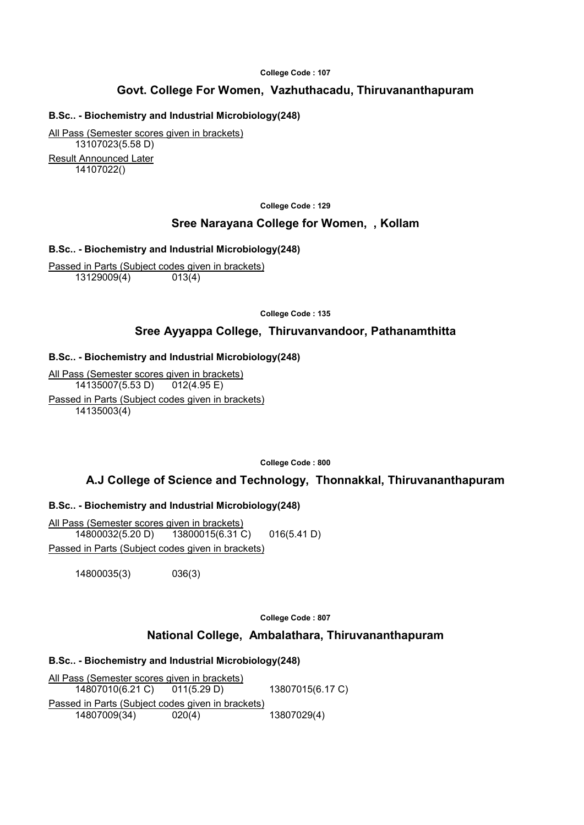#### College Code : 107

# Govt. College For Women, Vazhuthacadu, Thiruvananthapuram

## B.Sc.. - Biochemistry and Industrial Microbiology(248)

All Pass (Semester scores given in brackets) 13107023(5.58 D) Result Announced Later 14107022()

#### College Code : 129

## Sree Narayana College for Women, , Kollam

#### B.Sc.. - Biochemistry and Industrial Microbiology(248)

Passed in Parts (Subject codes given in brackets) 13129009(4) 013(4)

College Code : 135

## Sree Ayyappa College, Thiruvanvandoor, Pathanamthitta

#### B.Sc.. - Biochemistry and Industrial Microbiology(248)

All Pass (Semester scores given in brackets) 14135007(5.53 D) 012(4.95 E) Passed in Parts (Subject codes given in brackets) 14135003(4)

College Code : 800

# A.J College of Science and Technology, Thonnakkal, Thiruvananthapuram

## B.Sc.. - Biochemistry and Industrial Microbiology(248)

All Pass (Semester scores given in brackets) 14800032(5.20 D) 13800015(6.31 C) 016(5.41 D) Passed in Parts (Subject codes given in brackets)

14800035(3) 036(3)

College Code : 807

## National College, Ambalathara, Thiruvananthapuram

## B.Sc.. - Biochemistry and Industrial Microbiology(248)

All Pass (Semester scores given in brackets) 14807010(6.21 C) 011(5.29 D) 13807015(6.17 C) Passed in Parts (Subject codes given in brackets)<br>14807009(34) 020(4) 13807029(4) 14807009(34) 020(4)